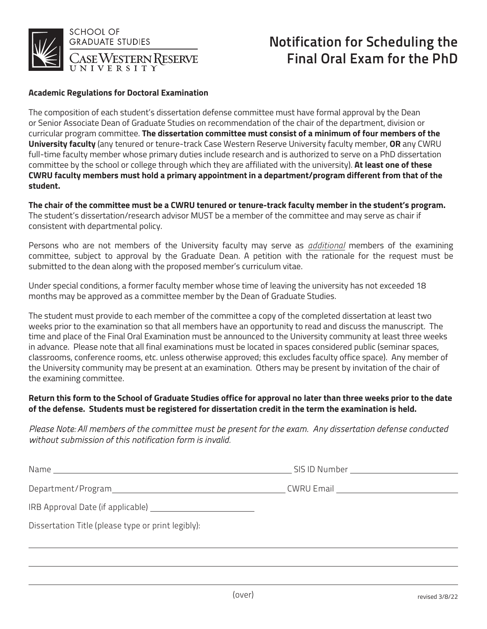

# Notification for Scheduling the Final Oral Exam for the PhD

#### **Academic Regulations for Doctoral Examination**

The composition of each student's dissertation defense committee must have formal approval by the Dean or Senior Associate Dean of Graduate Studies on recommendation of the chair of the department, division or curricular program committee. The dissertation committee must consist of a minimum of four members of the University faculty (any tenured or tenure-track Case Western Reserve University faculty member, OR any CWRU full-time faculty member whose primary duties include research and is authorized to serve on a PhD dissertation committee by the school or college through which they are affiliated with the university). At least one of these CWRU faculty members must hold a primary appointment in a department/program different from that of the student.

The chair of the committee must be a CWRU tenured or tenure-track faculty member in the student's program. The student's dissertation/research advisor MUST be a member of the committee and may serve as chair if consistent with departmental policy.

Persons who are not members of the University faculty may serve as *additional* members of the examining committee, subject to approval by the Graduate Dean. A petition with the rationale for the request must be submitted to the dean along with the proposed member's curriculum vitae.

Under special conditions, a former faculty member whose time of leaving the university has not exceeded 18 months may be approved as a committee member by the Dean of Graduate Studies.

The student must provide to each member of the committee a copy of the completed dissertation at least two weeks prior to the examination so that all members have an opportunity to read and discuss the manuscript. The time and place of the Final Oral Examination must be announced to the University community at least three weeks in advance. Please note that all final examinations must be located in spaces considered public (seminar spaces, classrooms, conference rooms, etc. unless otherwise approved; this excludes faculty office space). Any member of the University community may be present at an examination. Others may be present by invitation of the chair of the examining committee.

### Return this form to the School of Graduate Studies office for approval no later than three weeks prior to the date of the defense. Students must be registered for dissertation credit in the term the examination is held.

## Please Note: All members of the committee must be present for the exam. Any dissertation defense conducted without submission of this notification form is invalid.

| Name<br>and the control of the control of the control of the control of the control of the control of | SIS ID Number<br>the control of the control of the control of the control of |
|-------------------------------------------------------------------------------------------------------|------------------------------------------------------------------------------|
| Department/Program                                                                                    | CWRU Email ______________________                                            |
|                                                                                                       |                                                                              |
| Dissertation Title (please type or print legibly):                                                    |                                                                              |